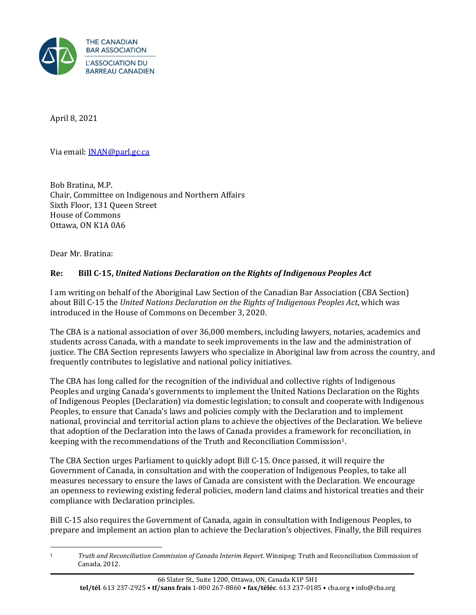

April 8, 2021

Via email: **[INAN@parl.gc.ca](mailto:INAN@parl.gc.ca)** 

Bob Bratina, M.P. Chair, Committee on Indigenous and Northern Affairs Sixth Floor, 131 Queen Street House of Commons Ottawa, ON K1A 0A6

Dear Mr. Bratina:

## **Re: Bill C-15,** *United Nations Declaration on the Rights of Indigenous Peoples Act*

I am writing on behalf of the Aboriginal Law Section of the Canadian Bar Association (CBA Section) about Bill C-15 the *United Nations Declaration on the Rights of Indigenous Peoples Act*, which was introduced in the House of Commons on December 3, 2020.

The CBA is a national association of over 36,000 members, including lawyers, notaries, academics and students across Canada, with a mandate to seek improvements in the law and the administration of justice. The CBA Section represents lawyers who specialize in Aboriginal law from across the country, and frequently contributes to legislative and national policy initiatives.

The CBA has long called for the recognition of the individual and collective rights of Indigenous Peoples and urging Canada's governments to implement the United Nations Declaration on the Rights of Indigenous Peoples (Declaration) via domestic legislation; to consult and cooperate with Indigenous Peoples, to ensure that Canada's laws and policies comply with the Declaration and to implement national, provincial and territorial action plans to achieve the objectives of the Declaration. We believe that adoption of the Declaration into the laws of Canada provides a framework for reconciliation, in keeping with the recommendations of the Truth and Reconciliation Commission1.

The CBA Section urges Parliament to quickly adopt Bill C-15. Once passed, it will require the Government of Canada, in consultation and with the cooperation of Indigenous Peoples, to take all measures necessary to ensure the laws of Canada are consistent with the Declaration. We encourage an openness to reviewing existing federal policies, modern land claims and historical treaties and their compliance with Declaration principles.

Bill C-15 also requires the Government of Canada, again in consultation with Indigenous Peoples, to prepare and implement an action plan to achieve the Declaration's objectives. Finally, the Bill requires

<sup>1</sup> *Truth and Reconciliation Commission of Canada Interim Report*. Winnipeg: Truth and Reconciliation Commission of Canada, 2012.